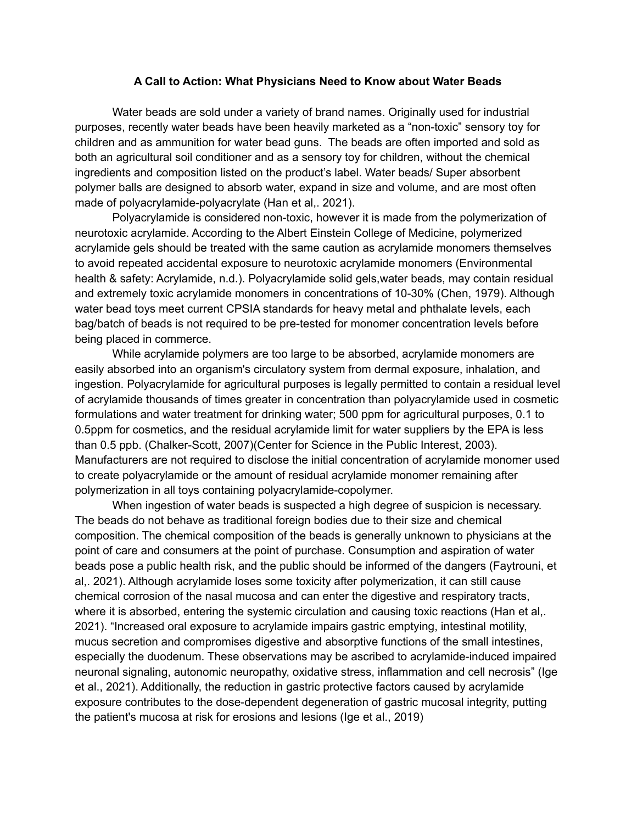## **A Call to Action: What Physicians Need to Know about Water Beads**

Water beads are sold under a variety of brand names. Originally used for industrial purposes, recently water beads have been heavily marketed as a "non-toxic" sensory toy for children and as ammunition for water bead guns. The beads are often imported and sold as both an agricultural soil conditioner and as a sensory toy for children, without the chemical ingredients and composition listed on the product's label. Water beads/ Super absorbent polymer balls are designed to absorb water, expand in size and volume, and are most often made of polyacrylamide-polyacrylate (Han et al,. 2021).

Polyacrylamide is considered non-toxic, however it is made from the polymerization of neurotoxic acrylamide. According to the Albert Einstein College of Medicine, polymerized acrylamide gels should be treated with the same caution as acrylamide monomers themselves to avoid repeated accidental exposure to neurotoxic acrylamide monomers (Environmental health & safety: Acrylamide, n.d.). Polyacrylamide solid gels,water beads, may contain residual and extremely toxic acrylamide monomers in concentrations of 10-30% (Chen, 1979). Although water bead toys meet current CPSIA standards for heavy metal and phthalate levels, each bag/batch of beads is not required to be pre-tested for monomer concentration levels before being placed in commerce.

While acrylamide polymers are too large to be absorbed, acrylamide monomers are easily absorbed into an organism's circulatory system from dermal exposure, inhalation, and ingestion. Polyacrylamide for agricultural purposes is legally permitted to contain a residual level of acrylamide thousands of times greater in concentration than polyacrylamide used in cosmetic formulations and water treatment for drinking water; 500 ppm for agricultural purposes, 0.1 to 0.5ppm for cosmetics, and the residual acrylamide limit for water suppliers by the EPA is less than 0.5 ppb. (Chalker-Scott, 2007)(Center for Science in the Public Interest, 2003). Manufacturers are not required to disclose the initial concentration of acrylamide monomer used to create polyacrylamide or the amount of residual acrylamide monomer remaining after polymerization in all toys containing polyacrylamide-copolymer.

When ingestion of water beads is suspected a high degree of suspicion is necessary. The beads do not behave as traditional foreign bodies due to their size and chemical composition. The chemical composition of the beads is generally unknown to physicians at the point of care and consumers at the point of purchase. Consumption and aspiration of water beads pose a public health risk, and the public should be informed of the dangers (Faytrouni, et al,. 2021). Although acrylamide loses some toxicity after polymerization, it can still cause chemical corrosion of the nasal mucosa and can enter the digestive and respiratory tracts, where it is absorbed, entering the systemic circulation and causing toxic reactions (Han et al,. 2021). "Increased oral exposure to acrylamide impairs gastric emptying, intestinal motility, mucus secretion and compromises digestive and absorptive functions of the small intestines, especially the duodenum. These observations may be ascribed to acrylamide-induced impaired neuronal signaling, autonomic neuropathy, oxidative stress, inflammation and cell necrosis" (Ige et al., 2021). Additionally, the reduction in gastric protective factors caused by acrylamide exposure contributes to the dose-dependent degeneration of gastric mucosal integrity, putting the patient's mucosa at risk for erosions and lesions (Ige et al., 2019)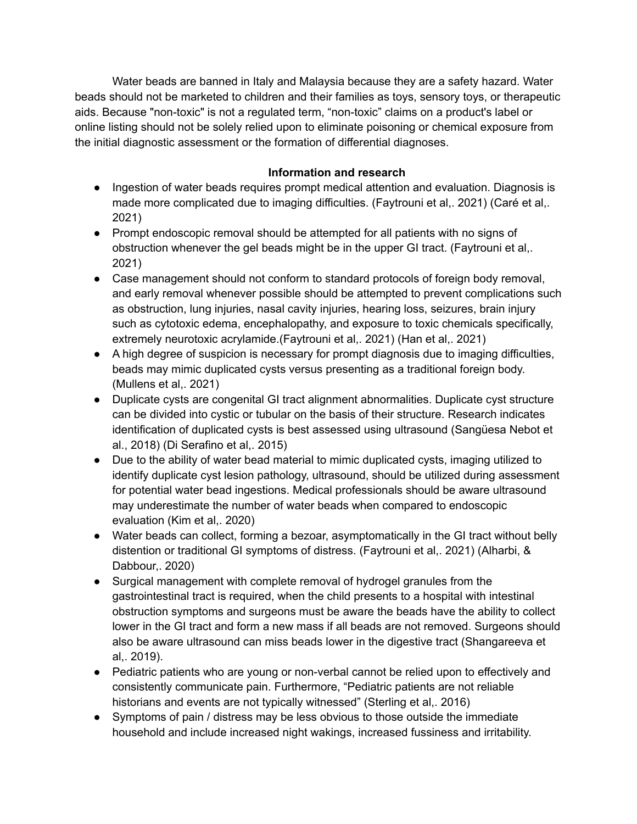Water beads are banned in Italy and Malaysia because they are a safety hazard. Water beads should not be marketed to children and their families as toys, sensory toys, or therapeutic aids. Because "non-toxic" is not a regulated term, "non-toxic" claims on a product's label or online listing should not be solely relied upon to eliminate poisoning or chemical exposure from the initial diagnostic assessment or the formation of differential diagnoses.

## **Information and research**

- Ingestion of water beads requires prompt medical attention and evaluation. Diagnosis is made more complicated due to imaging difficulties. (Faytrouni et al,. 2021) (Caré et al,. 2021)
- Prompt endoscopic removal should be attempted for all patients with no signs of obstruction whenever the gel beads might be in the upper GI tract. (Faytrouni et al,. 2021)
- Case management should not conform to standard protocols of foreign body removal, and early removal whenever possible should be attempted to prevent complications such as obstruction, lung injuries, nasal cavity injuries, hearing loss, seizures, brain injury such as cytotoxic edema, encephalopathy, and exposure to toxic chemicals specifically, extremely neurotoxic acrylamide.(Faytrouni et al,. 2021) (Han et al,. 2021)
- A high degree of suspicion is necessary for prompt diagnosis due to imaging difficulties, beads may mimic duplicated cysts versus presenting as a traditional foreign body. (Mullens et al,. 2021)
- Duplicate cysts are congenital GI tract alignment abnormalities. Duplicate cyst structure can be divided into cystic or tubular on the basis of their structure. Research indicates identification of duplicated cysts is best assessed using ultrasound (Sangüesa Nebot et al., 2018) (Di Serafino et al,. 2015)
- Due to the ability of water bead material to mimic duplicated cysts, imaging utilized to identify duplicate cyst lesion pathology, ultrasound, should be utilized during assessment for potential water bead ingestions. Medical professionals should be aware ultrasound may underestimate the number of water beads when compared to endoscopic evaluation (Kim et al,. 2020)
- Water beads can collect, forming a bezoar, asymptomatically in the GI tract without belly distention or traditional GI symptoms of distress. (Faytrouni et al,. 2021) (Alharbi, & Dabbour,. 2020)
- Surgical management with complete removal of hydrogel granules from the gastrointestinal tract is required, when the child presents to a hospital with intestinal obstruction symptoms and surgeons must be aware the beads have the ability to collect lower in the GI tract and form a new mass if all beads are not removed. Surgeons should also be aware ultrasound can miss beads lower in the digestive tract (Shangareeva et al,. 2019).
- Pediatric patients who are young or non-verbal cannot be relied upon to effectively and consistently communicate pain. Furthermore, "Pediatric patients are not reliable historians and events are not typically witnessed" (Sterling et al,. 2016)
- Symptoms of pain / distress may be less obvious to those outside the immediate household and include increased night wakings, increased fussiness and irritability.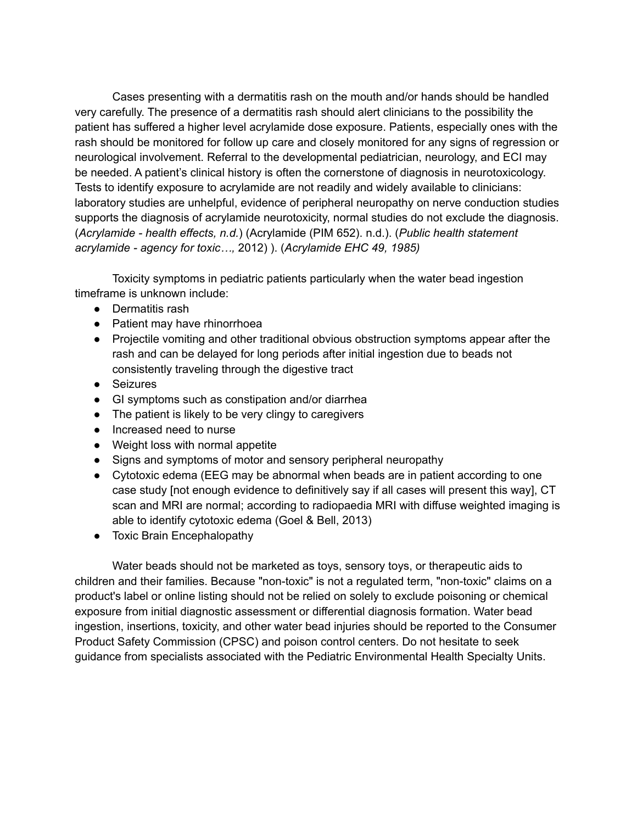Cases presenting with a dermatitis rash on the mouth and/or hands should be handled very carefully. The presence of a dermatitis rash should alert clinicians to the possibility the patient has suffered a higher level acrylamide dose exposure. Patients, especially ones with the rash should be monitored for follow up care and closely monitored for any signs of regression or neurological involvement. Referral to the developmental pediatrician, neurology, and ECI may be needed. A patient's clinical history is often the cornerstone of diagnosis in neurotoxicology. Tests to identify exposure to acrylamide are not readily and widely available to clinicians: laboratory studies are unhelpful, evidence of peripheral neuropathy on nerve conduction studies supports the diagnosis of acrylamide neurotoxicity, normal studies do not exclude the diagnosis. (*Acrylamide - health effects, n.d.*) (Acrylamide (PIM 652). n.d.). (*Public health statement acrylamide - agency for toxic…,* 2012) ). (*Acrylamide EHC 49, 1985)*

Toxicity symptoms in pediatric patients particularly when the water bead ingestion timeframe is unknown include:

- Dermatitis rash
- Patient may have rhinorrhoea
- Projectile vomiting and other traditional obvious obstruction symptoms appear after the rash and can be delayed for long periods after initial ingestion due to beads not consistently traveling through the digestive tract
- Seizures
- GI symptoms such as constipation and/or diarrhea
- The patient is likely to be very clingy to caregivers
- Increased need to nurse
- Weight loss with normal appetite
- Signs and symptoms of motor and sensory peripheral neuropathy
- Cytotoxic edema (EEG may be abnormal when beads are in patient according to one case study [not enough evidence to definitively say if all cases will present this way], CT scan and MRI are normal; according to radiopaedia MRI with diffuse weighted imaging is able to identify cytotoxic edema (Goel & Bell, 2013)
- Toxic Brain Encephalopathy

Water beads should not be marketed as toys, sensory toys, or therapeutic aids to children and their families. Because "non-toxic" is not a regulated term, "non-toxic" claims on a product's label or online listing should not be relied on solely to exclude poisoning or chemical exposure from initial diagnostic assessment or differential diagnosis formation. Water bead ingestion, insertions, toxicity, and other water bead injuries should be reported to the Consumer Product Safety Commission (CPSC) and poison control centers. Do not hesitate to seek guidance from specialists associated with the Pediatric Environmental Health Specialty Units.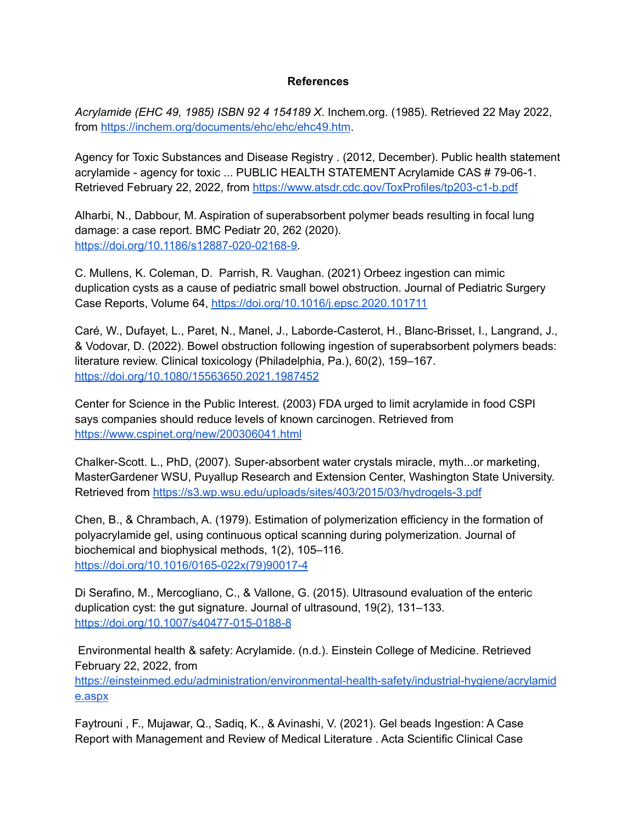## **References**

*Acrylamide (EHC 49, 1985) ISBN 92 4 154189 X*. Inchem.org. (1985). Retrieved 22 May 2022, from <https://inchem.org/documents/ehc/ehc/ehc49.htm>.

Agency for Toxic Substances and Disease Registry . (2012, December). Public health statement acrylamide - agency for toxic ... PUBLIC HEALTH STATEMENT Acrylamide CAS # 79-06-1. Retrieved February 22, 2022, from <https://www.atsdr.cdc.gov/ToxProfiles/tp203-c1-b.pdf>

Alharbi, N., Dabbour, M. Aspiration of superabsorbent polymer beads resulting in focal lung damage: a case report. BMC Pediatr 20, 262 (2020). [https://doi.org/10.1186/s12887-020-02168-9.](https://doi.org/10.1186/s12887-020-02168-9)

C. Mullens, K. Coleman, D. Parrish, R. Vaughan. (2021) Orbeez ingestion can mimic duplication cysts as a cause of pediatric small bowel obstruction. Journal of Pediatric Surgery Case Reports, Volume 64, <https://doi.org/10.1016/j.epsc.2020.101711>

Caré, W., Dufayet, L., Paret, N., Manel, J., Laborde-Casterot, H., Blanc-Brisset, I., Langrand, J., & Vodovar, D. (2022). Bowel obstruction following ingestion of superabsorbent polymers beads: literature review. Clinical toxicology (Philadelphia, Pa.), 60(2), 159–167. <https://doi.org/10.1080/15563650.2021.1987452>

Center for Science in the Public Interest. (2003) FDA urged to limit acrylamide in food CSPI says companies should reduce levels of known carcinogen. Retrieved from <https://www.cspinet.org/new/200306041.html>

Chalker-Scott. L., PhD, (2007). Super-absorbent water crystals miracle, myth...or marketing, MasterGardener WSU, Puyallup Research and Extension Center, Washington State University. Retrieved from <https://s3.wp.wsu.edu/uploads/sites/403/2015/03/hydrogels-3.pdf>

Chen, B., & Chrambach, A. (1979). Estimation of polymerization efficiency in the formation of polyacrylamide gel, using continuous optical scanning during polymerization. Journal of biochemical and biophysical methods, 1(2), 105–116. [https://doi.org/10.1016/0165-022x\(79\)90017-4](https://doi.org/10.1016/0165-022x(79)90017-4)

Di Serafino, M., Mercogliano, C., & Vallone, G. (2015). Ultrasound evaluation of the enteric duplication cyst: the gut signature. Journal of ultrasound, 19(2), 131–133. <https://doi.org/10.1007/s40477-015-0188-8>

Environmental health & safety: Acrylamide. (n.d.). Einstein College of Medicine. Retrieved February 22, 2022, from [https://einsteinmed.edu/administration/environmental-health-safety/industrial-hygiene/acrylamid](https://einsteinmed.edu/administration/environmental-health-safety/industrial-hygiene/acrylamide.aspx) [e.aspx](https://einsteinmed.edu/administration/environmental-health-safety/industrial-hygiene/acrylamide.aspx)

Faytrouni , F., Mujawar, Q., Sadiq, K., & Avinashi, V. (2021). Gel beads Ingestion: A Case Report with Management and Review of Medical Literature . Acta Scientific Clinical Case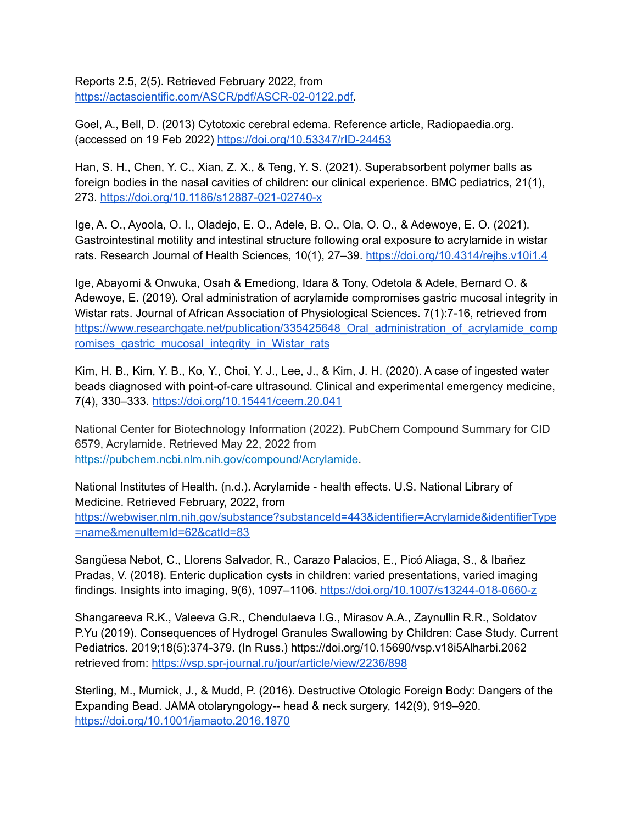Reports 2.5, 2(5). Retrieved February 2022, from [https://actascientific.com/ASCR/pdf/ASCR-02-0122.pdf.](https://actascientific.com/ASCR/pdf/ASCR-02-0122.pdf)

Goel, A., Bell, D. (2013) Cytotoxic cerebral edema. Reference article, Radiopaedia.org. (accessed on 19 Feb 2022) <https://doi.org/10.53347/rID-24453>

Han, S. H., Chen, Y. C., Xian, Z. X., & Teng, Y. S. (2021). Superabsorbent polymer balls as foreign bodies in the nasal cavities of children: our clinical experience. BMC pediatrics, 21(1), 273. <https://doi.org/10.1186/s12887-021-02740-x>

Ige, A. O., Ayoola, O. I., Oladejo, E. O., Adele, B. O., Ola, O. O., & Adewoye, E. O. (2021). Gastrointestinal motility and intestinal structure following oral exposure to acrylamide in wistar rats. Research Journal of Health Sciences, 10(1), 27–39. <https://doi.org/10.4314/rejhs.v10i1.4>

Ige, Abayomi & Onwuka, Osah & Emediong, Idara & Tony, Odetola & Adele, Bernard O. & Adewoye, E. (2019). Oral administration of acrylamide compromises gastric mucosal integrity in Wistar rats. Journal of African Association of Physiological Sciences. 7(1):7-16, retrieved from https://www.researchgate.net/publication/335425648 Oral\_administration\_of\_acrylamide\_comp romises gastric mucosal integrity in Wistar rats

Kim, H. B., Kim, Y. B., Ko, Y., Choi, Y. J., Lee, J., & Kim, J. H. (2020). A case of ingested water beads diagnosed with point-of-care ultrasound. Clinical and experimental emergency medicine, 7(4), 330–333. <https://doi.org/10.15441/ceem.20.041>

National Center for Biotechnology Information (2022). PubChem Compound Summary for CID 6579, Acrylamide. Retrieved May 22, 2022 from [https://pubchem.ncbi.nlm.nih.gov/compound/Acrylamide.](https://pubchem.ncbi.nlm.nih.gov/compound/Acrylamide)

National Institutes of Health. (n.d.). Acrylamide - health effects. U.S. National Library of Medicine. Retrieved February, 2022, from [https://webwiser.nlm.nih.gov/substance?substanceId=443&identifier=Acrylamide&identifierType](https://webwiser.nlm.nih.gov/substance?substanceId=443&identifier=Acrylamide&identifierType=name&menuItemId=62&catId=83) [=name&menuItemId=62&catId=83](https://webwiser.nlm.nih.gov/substance?substanceId=443&identifier=Acrylamide&identifierType=name&menuItemId=62&catId=83)

Sangüesa Nebot, C., Llorens Salvador, R., Carazo Palacios, E., Picó Aliaga, S., & Ibañez Pradas, V. (2018). Enteric duplication cysts in children: varied presentations, varied imaging findings. Insights into imaging, 9(6), 1097–1106. <https://doi.org/10.1007/s13244-018-0660-z>

Shangareeva R.K., Valeeva G.R., Chendulaeva I.G., Mirasov A.A., Zaynullin R.R., Soldatov P.Yu (2019). Consequences of Hydrogel Granules Swallowing by Children: Case Study. Current Pediatrics. 2019;18(5):374-379. (In Russ.) https://doi.org/10.15690/vsp.v18i5Alharbi.2062 retrieved from: <https://vsp.spr-journal.ru/jour/article/view/2236/898>

Sterling, M., Murnick, J., & Mudd, P. (2016). Destructive Otologic Foreign Body: Dangers of the Expanding Bead. JAMA otolaryngology-- head & neck surgery, 142(9), 919–920. <https://doi.org/10.1001/jamaoto.2016.1870>